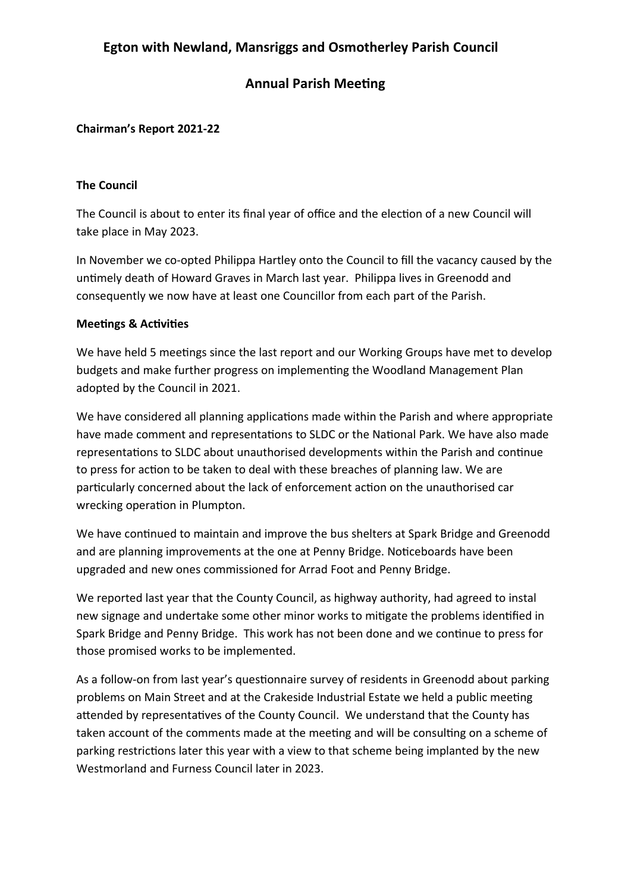# **Egton with Newland, Mansriggs and Osmotherley Parish Council**

### **Annual Parish Meeting**

### **Chairman's Report 2021-22**

#### **The Council**

The Council is about to enter its final year of office and the election of a new Council will take place in May 2023.

In November we co-opted Philippa Hartley onto the Council to fill the vacancy caused by the untimely death of Howard Graves in March last year. Philippa lives in Greenodd and consequently we now have at least one Councillor from each part of the Parish.

#### **Meetings & Activities**

We have held 5 meetings since the last report and our Working Groups have met to develop budgets and make further progress on implementing the Woodland Management Plan adopted by the Council in 2021.

We have considered all planning applications made within the Parish and where appropriate have made comment and representations to SLDC or the National Park. We have also made representations to SLDC about unauthorised developments within the Parish and continue to press for action to be taken to deal with these breaches of planning law. We are particularly concerned about the lack of enforcement action on the unauthorised car wrecking operation in Plumpton.

We have continued to maintain and improve the bus shelters at Spark Bridge and Greenodd and are planning improvements at the one at Penny Bridge. Noticeboards have been upgraded and new ones commissioned for Arrad Foot and Penny Bridge.

We reported last year that the County Council, as highway authority, had agreed to instal new signage and undertake some other minor works to mitigate the problems identified in Spark Bridge and Penny Bridge. This work has not been done and we continue to press for those promised works to be implemented.

As a follow-on from last year's questionnaire survey of residents in Greenodd about parking problems on Main Street and at the Crakeside Industrial Estate we held a public meeting attended by representatives of the County Council. We understand that the County has taken account of the comments made at the meeting and will be consulting on a scheme of parking restrictions later this year with a view to that scheme being implanted by the new Westmorland and Furness Council later in 2023.